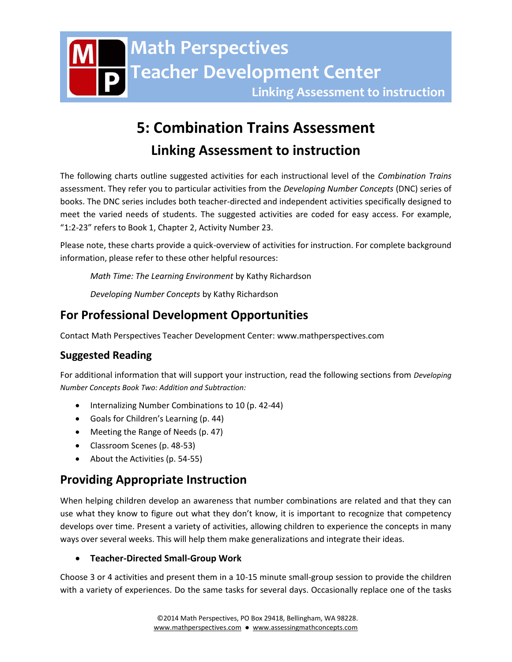# **5: Combination Trains Assessment Linking Assessment to instruction**

The following charts outline suggested activities for each instructional level of the *Combination Trains* assessment. They refer you to particular activities from the *Developing Number Concepts* (DNC) series of books. The DNC series includes both teacher-directed and independent activities specifically designed to meet the varied needs of students. The suggested activities are coded for easy access. For example, "1:2-23" refers to Book 1, Chapter 2, Activity Number 23.

Please note, these charts provide a quick-overview of activities for instruction. For complete background information, please refer to these other helpful resources:

*Math Time: The Learning Environment* by Kathy Richardson

*Developing Number Concepts* by Kathy Richardson

## **For Professional Development Opportunities**

Contact Math Perspectives Teacher Development Center: www.mathperspectives.com

### **Suggested Reading**

For additional information that will support your instruction, read the following sections from *Developing Number Concepts Book Two: Addition and Subtraction:*

- Internalizing Number Combinations to 10 (p. 42-44)
- Goals for Children's Learning (p. 44)
- Meeting the Range of Needs (p. 47)
- Classroom Scenes (p. 48-53)
- About the Activities (p. 54-55)

# **Providing Appropriate Instruction**

When helping children develop an awareness that number combinations are related and that they can use what they know to figure out what they don't know, it is important to recognize that competency develops over time. Present a variety of activities, allowing children to experience the concepts in many ways over several weeks. This will help them make generalizations and integrate their ideas.

### **Teacher-Directed Small-Group Work**

Choose 3 or 4 activities and present them in a 10-15 minute small-group session to provide the children with a variety of experiences. Do the same tasks for several days. Occasionally replace one of the tasks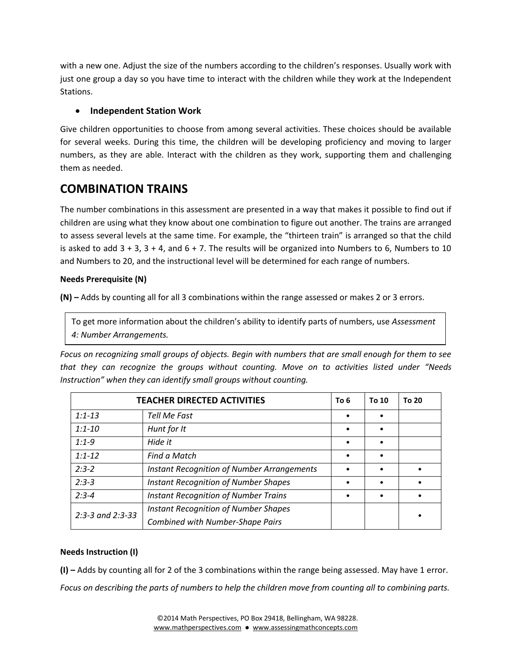with a new one. Adjust the size of the numbers according to the children's responses. Usually work with just one group a day so you have time to interact with the children while they work at the Independent Stations.

### **Independent Station Work**

Give children opportunities to choose from among several activities. These choices should be available for several weeks. During this time, the children will be developing proficiency and moving to larger numbers, as they are able. Interact with the children as they work, supporting them and challenging them as needed.

### **COMBINATION TRAINS**

The number combinations in this assessment are presented in a way that makes it possible to find out if children are using what they know about one combination to figure out another. The trains are arranged to assess several levels at the same time. For example, the "thirteen train" is arranged so that the child is asked to add  $3 + 3$ ,  $3 + 4$ , and  $6 + 7$ . The results will be organized into Numbers to 6, Numbers to 10 and Numbers to 20, and the instructional level will be determined for each range of numbers.

#### **Needs Prerequisite (N)**

**(N) –** Adds by counting all for all 3 combinations within the range assessed or makes 2 or 3 errors.

To get more information about the children's ability to identify parts of numbers, use *Assessment 4: Number Arrangements.*

*Focus on recognizing small groups of objects. Begin with numbers that are small enough for them to see that they can recognize the groups without counting. Move on to activities listed under "Needs Instruction" when they can identify small groups without counting.* 

|                      | <b>TEACHER DIRECTED ACTIVITIES</b>                | To 6      | To 10     | To 20 |
|----------------------|---------------------------------------------------|-----------|-----------|-------|
| $1:1 - 13$           | Tell Me Fast                                      |           |           |       |
| $1:1 - 10$           | Hunt for It                                       |           | ٠         |       |
| $1:1-9$              | Hide it                                           | $\bullet$ | $\bullet$ |       |
| $1:1 - 12$           | Find a Match                                      |           | $\bullet$ |       |
| $2:3-2$              | <b>Instant Recognition of Number Arrangements</b> |           |           |       |
| $2:3-3$              | <b>Instant Recognition of Number Shapes</b>       |           |           |       |
| $2:3-4$              | <b>Instant Recognition of Number Trains</b>       |           |           |       |
| $2:3-3$ and $2:3-33$ | <b>Instant Recognition of Number Shapes</b>       |           |           |       |
|                      | <b>Combined with Number-Shape Pairs</b>           |           |           |       |

### **Needs Instruction (I)**

**(I) –** Adds by counting all for 2 of the 3 combinations within the range being assessed. May have 1 error. *Focus on describing the parts of numbers to help the children move from counting all to combining parts.*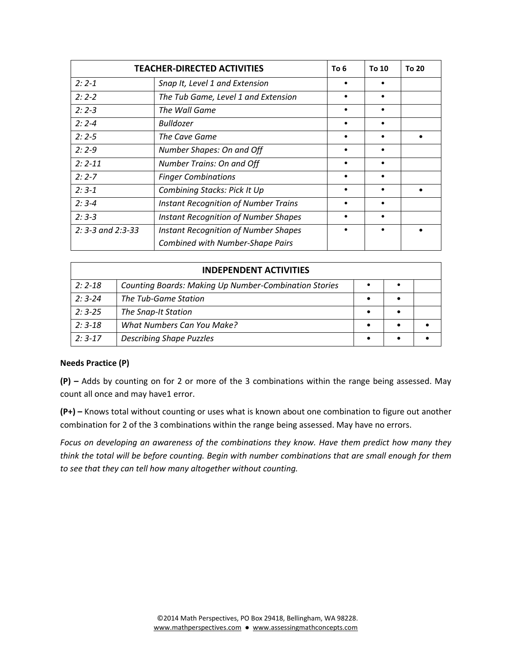|                            | <b>TEACHER-DIRECTED ACTIVITIES</b>          | To 6 | To 10 | To 20 |
|----------------------------|---------------------------------------------|------|-------|-------|
| $2:2 - 1$                  | Snap It, Level 1 and Extension              |      |       |       |
| $2:2-2$                    | The Tub Game, Level 1 and Extension         |      |       |       |
| $2:2-3$                    | The Wall Game                               |      |       |       |
| $2:2 - 4$                  | Bulldozer                                   | ٠    |       |       |
| $2:2-5$                    | The Cave Game                               |      |       |       |
| $2:2-9$                    | Number Shapes: On and Off                   |      |       |       |
| $2: 2 - 11$                | Number Trains: On and Off                   | ٠    |       |       |
| $2:2 - 7$                  | <b>Finger Combinations</b>                  |      |       |       |
| $2:3-1$                    | Combining Stacks: Pick It Up                |      |       |       |
| $2:3-4$                    | <b>Instant Recognition of Number Trains</b> |      |       |       |
| $2:3-3$                    | <b>Instant Recognition of Number Shapes</b> |      |       |       |
| $2: 3 - 3$ and $2: 3 - 33$ | <b>Instant Recognition of Number Shapes</b> |      |       |       |
|                            | <b>Combined with Number-Shape Pairs</b>     |      |       |       |

| <b>INDEPENDENT ACTIVITIES</b> |                                                              |  |  |  |
|-------------------------------|--------------------------------------------------------------|--|--|--|
| $2:2 - 18$                    | <b>Counting Boards: Making Up Number-Combination Stories</b> |  |  |  |
| $2:3-24$                      | The Tub-Game Station                                         |  |  |  |
| $2:3-25$                      | The Snap-It Station                                          |  |  |  |
| $2:3-18$                      | <b>What Numbers Can You Make?</b>                            |  |  |  |
| $2:3-17$                      | <b>Describing Shape Puzzles</b>                              |  |  |  |

#### **Needs Practice (P)**

**(P) –** Adds by counting on for 2 or more of the 3 combinations within the range being assessed. May count all once and may have1 error.

**(P+) –** Knows total without counting or uses what is known about one combination to figure out another combination for 2 of the 3 combinations within the range being assessed. May have no errors.

*Focus on developing an awareness of the combinations they know. Have them predict how many they think the total will be before counting. Begin with number combinations that are small enough for them to see that they can tell how many altogether without counting.*